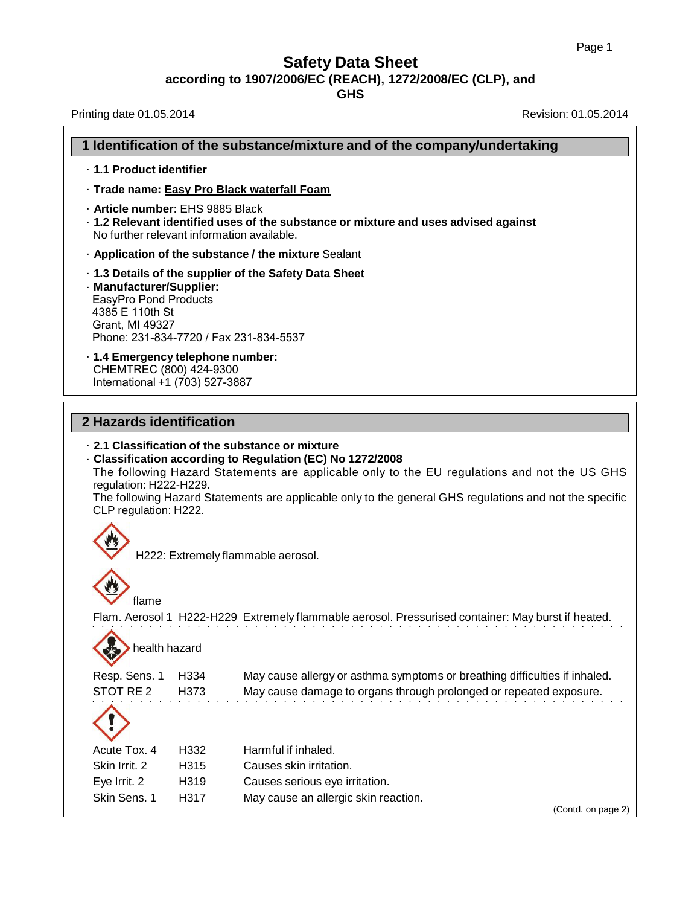**GHS**

Printing date 01.05.2014 **Revision: 01.05.2014** Revision: 01.05.2014

# **1 Identification of the substance/mixture and of the company/undertaking** · **1.1 Product identifier** · **Trade name: Easy Pro Black waterfall Foam** · **Article number:** EHS 9885 Black · **1.2 Relevant identified uses of the substance or mixture and uses advised against** No further relevant information available. · **Application of the substance / the mixture** Sealant · **1.3 Details of the supplier of the Safety Data Sheet** · **Manufacturer/Supplier:** EasyPro Pond Products 4385 E 110th St Grant, MI 49327 Phone: 231-834-7720 / Fax 231-834-5537 · **1.4 Emergency telephone number:** CHEMTREC (800) 424-9300 International +1 (703) 527-3887 **2 Hazards identification** · **2.1 Classification of the substance or mixture**

· **Classification according to Regulation (EC) No 1272/2008** The following Hazard Statements are applicable only to the EU regulations and not the US GHS regulation: H222-H229. The following Hazard Statements are applicable only to the general GHS regulations and not the specific

CLP regulation: H222.



H222: Extremely flammable aerosol.



Flam. Aerosol 1 H222-H229 Extremely flammable aerosol. Pressurised container: May burst if heated.

health hazard

Resp. Sens. 1 H334 May cause allergy or asthma symptoms or breathing difficulties if inhaled. STOT RE 2 H373 May cause damage to organs through prolonged or repeated exposure.



| $\sim$        |      |                                      |                    |
|---------------|------|--------------------------------------|--------------------|
| Acute Tox. 4  | H332 | Harmful if inhaled.                  |                    |
| Skin Irrit, 2 | H315 | Causes skin irritation.              |                    |
| Eye Irrit. 2  | H319 | Causes serious eye irritation.       |                    |
| Skin Sens, 1  | H317 | May cause an allergic skin reaction. |                    |
|               |      |                                      | (Contd. on page 2) |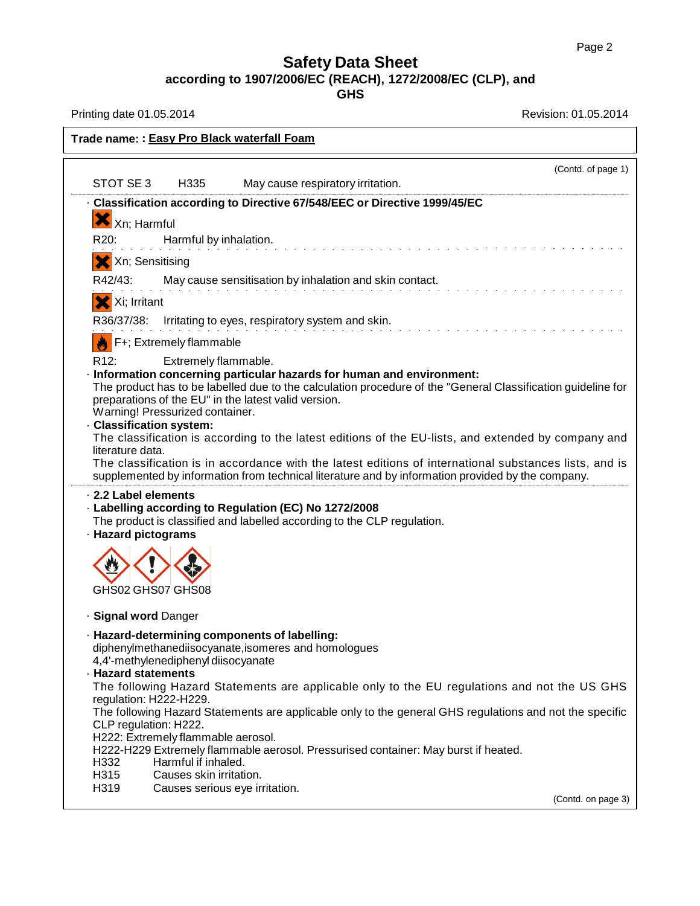**GHS**

Printing date 01.05.2014 **Revision: 01.05.2014** 

| Trade name: : Easy Pro Black waterfall Foam                                                                                                                                                                 |
|-------------------------------------------------------------------------------------------------------------------------------------------------------------------------------------------------------------|
| (Contd. of page 1)                                                                                                                                                                                          |
| STOT SE3<br>H335<br>May cause respiratory irritation.                                                                                                                                                       |
| Classification according to Directive 67/548/EEC or Directive 1999/45/EC                                                                                                                                    |
| $X_{Xn; Harmful}$                                                                                                                                                                                           |
| R20:<br>Harmful by inhalation.                                                                                                                                                                              |
| X Xn; Sensitising                                                                                                                                                                                           |
| May cause sensitisation by inhalation and skin contact.<br>R42/43:                                                                                                                                          |
| X Xi; Irritant                                                                                                                                                                                              |
| R36/37/38: Irritating to eyes, respiratory system and skin.                                                                                                                                                 |
| F+; Extremely flammable                                                                                                                                                                                     |
| R <sub>12</sub> :<br>Extremely flammable.<br>Information concerning particular hazards for human and environment:                                                                                           |
| The product has to be labelled due to the calculation procedure of the "General Classification guideline for<br>preparations of the EU" in the latest valid version.<br>Warning! Pressurized container.     |
| <b>Classification system:</b>                                                                                                                                                                               |
| The classification is according to the latest editions of the EU-lists, and extended by company and<br>literature data.                                                                                     |
| The classification is in accordance with the latest editions of international substances lists, and is<br>supplemented by information from technical literature and by information provided by the company. |
| 2.2 Label elements<br>- Labelling according to Regulation (EC) No 1272/2008                                                                                                                                 |
| The product is classified and labelled according to the CLP regulation.<br>· Hazard pictograms                                                                                                              |
|                                                                                                                                                                                                             |
| GHS02 GHS07 GHS08                                                                                                                                                                                           |
| · Signal word Danger                                                                                                                                                                                        |
| · Hazard-determining components of labelling:                                                                                                                                                               |
| diphenylmethanediisocyanate, isomeres and homologues<br>4,4'-methylenediphenyl diisocyanate                                                                                                                 |
| · Hazard statements                                                                                                                                                                                         |
| The following Hazard Statements are applicable only to the EU regulations and not the US GHS<br>regulation: H222-H229.                                                                                      |
| The following Hazard Statements are applicable only to the general GHS regulations and not the specific<br>CLP regulation: H222.                                                                            |
| H222: Extremely flammable aerosol.                                                                                                                                                                          |
| H222-H229 Extremely flammable aerosol. Pressurised container: May burst if heated.<br>Harmful if inhaled.<br>H332                                                                                           |
| H315<br>Causes skin irritation.                                                                                                                                                                             |
| H319<br>Causes serious eye irritation.<br>(Contd. on page 3)                                                                                                                                                |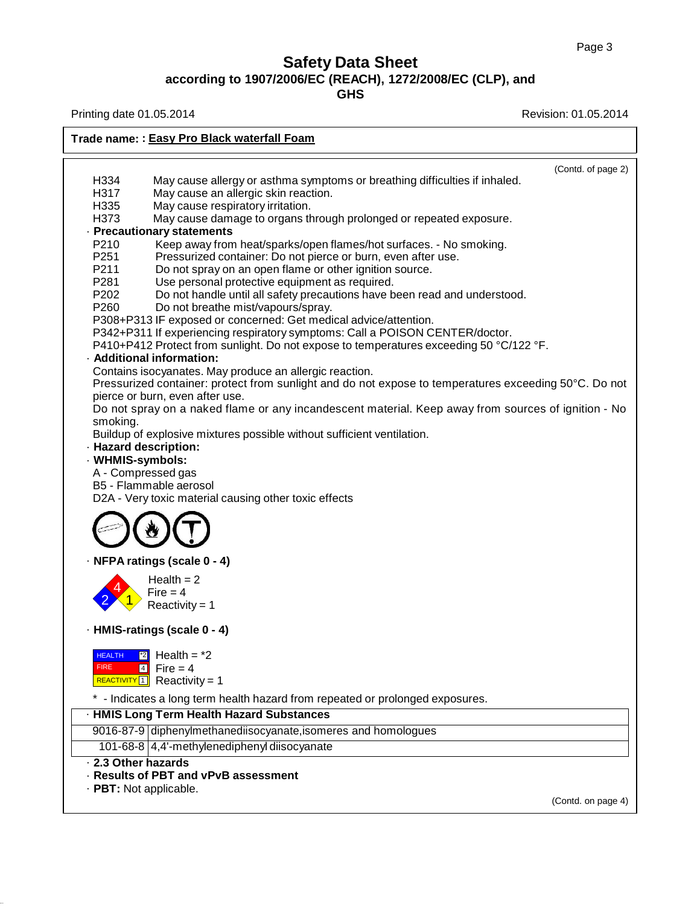**GHS**

Printing date 01.05.2014 **Revision: 01.05.2014** Revision: 01.05.2014

**Trade name: : Easy Pro Black waterfall Foam** H334 May cause allergy or asthma symptoms or breathing difficulties if inhaled. H317 May cause an allergic skin reaction. H335 May cause respiratory irritation. H373 May cause damage to organs through prolonged or repeated exposure. · **Precautionary statements** P210 Keep away from heat/sparks/open flames/hot surfaces. - No smoking. P251 Pressurized container: Do not pierce or burn, even after use. P211 Do not spray on an open flame or other ignition source.<br>P281 Use personal protective equipment as required. P281 Use personal protective equipment as required.<br>P202 Do not handle until all safety precautions have b Do not handle until all safety precautions have been read and understood. P260 Do not breathe mist/vapours/spray. P308+P313 IF exposed or concerned: Get medical advice/attention. P342+P311 If experiencing respiratory symptoms: Call a POISON CENTER/doctor. P410+P412 Protect from sunlight. Do not expose to temperatures exceeding 50 °C/122 °F. · **Additional information:** Contains isocyanates. May produce an allergic reaction. (Contd. of page 2) Pressurized container: protect from sunlight and do not expose to temperatures exceeding 50°C. Do not pierce or burn, even after use. Do not spray on a naked flame or any incandescent material. Keep away from sources of ignition - No smoking. Buildup of explosive mixtures possible without sufficient ventilation. · **Hazard description:** · **WHMIS-symbols:** A - Compressed gas B5 - Flammable aerosol D2A - Very toxic material causing other toxic effects · **NFPA ratings (scale 0 - 4)** Health = 2<br>Fire = 4<br>Reactivity = 1 · **HMIS-ratings (scale 0 - 4) HEALTH** FIRE  $\boxed{2}$  Health =  $*2$  $4$  Fire = 4  $\frac{REACTIVITY[1]}{Reactivity = 1}$ \* - Indicates a long term health hazard from repeated or prolonged exposures. · **HMIS Long Term Health Hazard Substances** 9016-87-9 diphenylmethanediisocyanate, isomeres and homologues 101-68-8 4,4'-methylenediphenyl diisocyanate · **2.3 Other hazards** · **Results of PBT and vPvB assessment** · **PBT:** Not applicable.

(Contd. on page 4)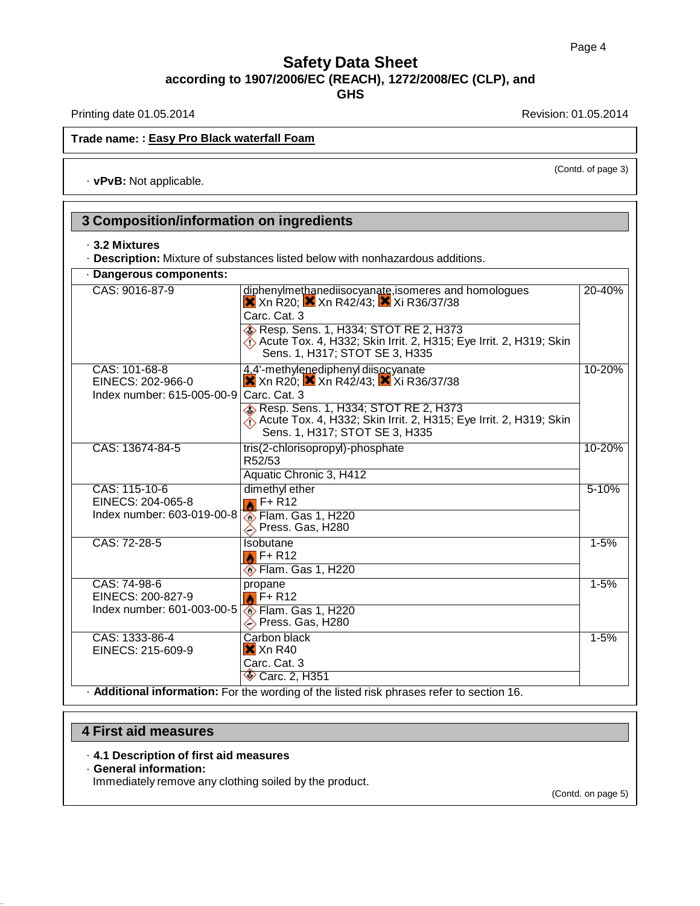Printing date 01.05.2014 **Revision: 01.05.2014** Revision: 01.05.2014

### **Trade name: : Easy Pro Black waterfall Foam**

· **vPvB:** Not applicable.

(Contd. of page 3)

#### **3 Composition/information on ingredients** · **3.2 Mixtures** · **Description:** Mixture of substances listed below with nonhazardous additions. · **Dangerous components:** CAS: 9016-87-9 diphenylmethanediisocyanate,isomeres and homologues  $X$  Xn R20;  $X$  Xn R42/43;  $X$  Xi R36/37/38 Carc. Cat. 3 20-40% **& Resp. Sens. 1, H334; STOT RE 2, H373** Acute Tox. 4, H332; Skin Irrit. 2, H315; Eye Irrit. 2, H319; Skin Sens. 1, H317; STOT SE 3, H335 CAS: 101-68-8 EINECS: 202-966-0 Index number: 615-005-00-9 4.4'-methylenediphenyl diisocyanate  $X$  Xn R20;  $X$  Xn R42/43;  $X$  Xi R36/37/38 Carc. Cat. 3 10-20% **B** Resp. Sens. 1, H334; STOT RE 2, H373 Acute Tox. 4, H332; Skin Irrit. 2, H315; Eye Irrit. 2, H319; Skin Sens. 1, H317; STOT SE 3, H335 CAS: 13674-84-5 tris(2-chlorisopropyl)-phosphate R52/53 10-20% Aquatic Chronic 3, H412 CAS: 115-10-6 EINECS: 204-065-8 Index number: 603-019-00-8 dimethyl ether  $\bullet$  F+ R12 5-10% Flam. Gas 1, H220 Press. Gas, H280 CAS: 72-28-5 | Isobutane  $\triangle$  F+ R12 1-5% **Elam. Gas 1, H220** CAS: 74-98-6 EINECS: 200-827-9 Index number: 601-003-00-5 propane  $\bigotimes$  F+ R12 1-5% Flam. Gas 1, H220 Press. Gas, H280 CAS: 1333-86-4 EINECS: 215-609-9 Carbon black  $X$  Xn R40 Carc. Cat. 3 1-5% **Carc. 2, H351**

· **Additional information:** For the wording of the listed risk phrases refer to section 16.

### **4 First aid measures**

- · **4.1 Description of first aid measures**
- · **General information:**

Immediately remove any clothing soiled by the product.

(Contd. on page 5)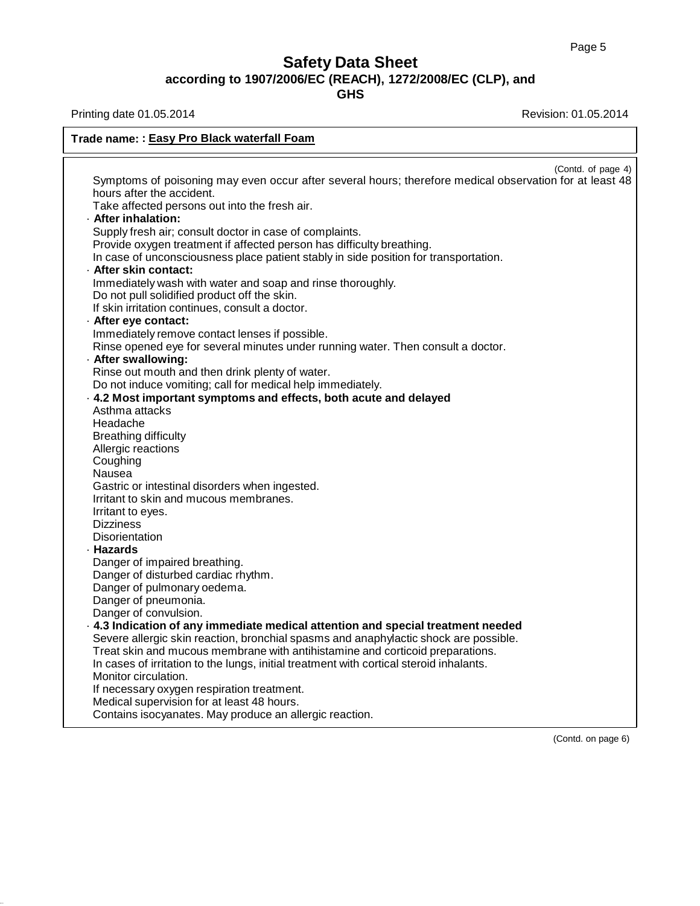T.

# **Safety Data Sheet according to 1907/2006/EC (REACH), 1272/2008/EC (CLP), and**

**GHS**

 $\mathbf{r}$ 

Printing date 01.05.2014 **Revision: 01.05.2014** 

| Trade name: : Easy Pro Black waterfall Foam                                                                                                                                                                                                                                                                                                                                        |  |  |
|------------------------------------------------------------------------------------------------------------------------------------------------------------------------------------------------------------------------------------------------------------------------------------------------------------------------------------------------------------------------------------|--|--|
| (Contd. of page 4)<br>Symptoms of poisoning may even occur after several hours; therefore medical observation for at least 48<br>hours after the accident.<br>Take affected persons out into the fresh air.<br>· After inhalation:                                                                                                                                                 |  |  |
| Supply fresh air; consult doctor in case of complaints.<br>Provide oxygen treatment if affected person has difficulty breathing.<br>In case of unconsciousness place patient stably in side position for transportation.<br>· After skin contact:                                                                                                                                  |  |  |
| Immediately wash with water and soap and rinse thoroughly.<br>Do not pull solidified product off the skin.<br>If skin irritation continues, consult a doctor.                                                                                                                                                                                                                      |  |  |
| - After eye contact:<br>Immediately remove contact lenses if possible.<br>Rinse opened eye for several minutes under running water. Then consult a doctor.<br>· After swallowing:                                                                                                                                                                                                  |  |  |
| Rinse out mouth and then drink plenty of water.<br>Do not induce vomiting; call for medical help immediately.<br>. 4.2 Most important symptoms and effects, both acute and delayed<br>Asthma attacks                                                                                                                                                                               |  |  |
| Headache<br><b>Breathing difficulty</b><br>Allergic reactions<br>Coughing                                                                                                                                                                                                                                                                                                          |  |  |
| Nausea<br>Gastric or intestinal disorders when ingested.<br>Irritant to skin and mucous membranes.<br>Irritant to eyes.<br><b>Dizziness</b>                                                                                                                                                                                                                                        |  |  |
| Disorientation<br>· Hazards<br>Danger of impaired breathing.                                                                                                                                                                                                                                                                                                                       |  |  |
| Danger of disturbed cardiac rhythm.<br>Danger of pulmonary oedema.<br>Danger of pneumonia.<br>Danger of convulsion.                                                                                                                                                                                                                                                                |  |  |
| $\cdot$ 4.3 Indication of any immediate medical attention and special treatment needed<br>Severe allergic skin reaction, bronchial spasms and anaphylactic shock are possible.<br>Treat skin and mucous membrane with antihistamine and corticoid preparations.<br>In cases of irritation to the lungs, initial treatment with cortical steroid inhalants.<br>Monitor circulation. |  |  |
| If necessary oxygen respiration treatment.<br>Medical supervision for at least 48 hours.<br>Contains isocyanates. May produce an allergic reaction.                                                                                                                                                                                                                                |  |  |

(Contd. on page 6)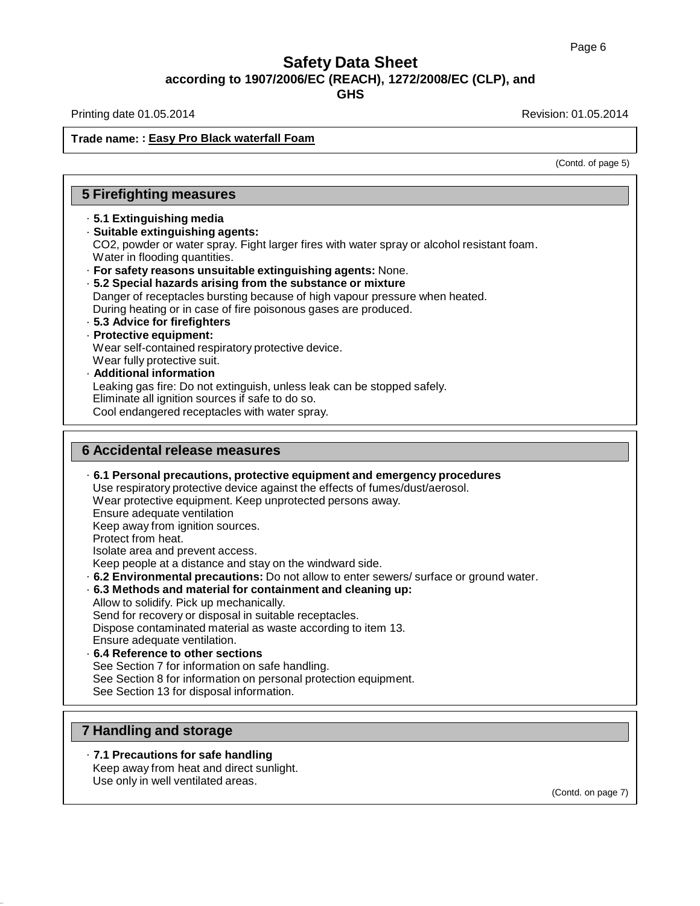Printing date 01.05.2014 **Revision: 01.05.2014** Revision: 01.05.2014

### **Trade name: : Easy Pro Black waterfall Foam**

(Contd. of page 5)

## **5 Firefighting measures**

### · **5.1 Extinguishing media**

· **Suitable extinguishing agents:** CO2, powder or water spray. Fight larger fires with water spray or alcohol resistant foam. Water in flooding quantities.

- · **For safety reasons unsuitable extinguishing agents:** None.
- · **5.2 Special hazards arising from the substance or mixture** Danger of receptacles bursting because of high vapour pressure when heated. During heating or in case of fire poisonous gases are produced. · **5.3 Advice for firefighters**

### · **Protective equipment:**

Wear self-contained respiratory protective device.

- Wear fully protective suit.
- · **Additional information** Leaking gas fire: Do not extinguish, unless leak can be stopped safely. Eliminate all ignition sources if safe to do so. Cool endangered receptacles with water spray.

### **6 Accidental release measures**

· **6.1 Personal precautions, protective equipment and emergency procedures** Use respiratory protective device against the effects of fumes/dust/aerosol. Wear protective equipment. Keep unprotected persons away. Ensure adequate ventilation Keep away from ignition sources. Protect from heat. Isolate area and prevent access. Keep people at a distance and stay on the windward side. · **6.2 Environmental precautions:** Do not allow to enter sewers/ surface or ground water. · **6.3 Methods and material for containment and cleaning up:** Allow to solidify. Pick up mechanically. Send for recovery or disposal in suitable receptacles. Dispose contaminated material as waste according to item 13. Ensure adequate ventilation. · **6.4 Reference to other sections** See Section 7 for information on safe handling. See Section 8 for information on personal protection equipment. See Section 13 for disposal information.

### **7 Handling and storage**

· **7.1 Precautions for safe handling** Keep away from heat and direct sunlight.

Use only in well ventilated areas.

(Contd. on page 7)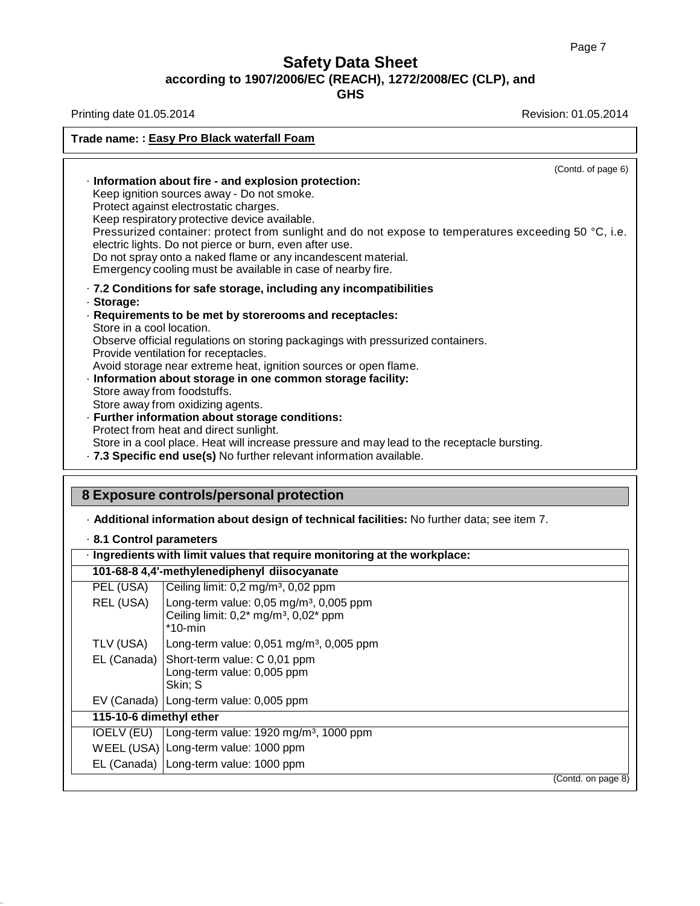# **Safety Data Sheet according to 1907/2006/EC (REACH), 1272/2008/EC (CLP), and**

**GHS**

Printing date 01.05.2014 **Revision: 01.05.2014** 

| Information about fire - and explosion protection:<br>Keep ignition sources away - Do not smoke.<br>Protect against electrostatic charges.<br>Keep respiratory protective device available.<br>electric lights. Do not pierce or burn, even after use.<br>Do not spray onto a naked flame or any incandescent material.<br>Emergency cooling must be available in case of nearby fire.<br>· 7.2 Conditions for safe storage, including any incompatibilities<br>· Storage:<br>Requirements to be met by storerooms and receptacles:<br>Store in a cool location.<br>Observe official regulations on storing packagings with pressurized containers.<br>Provide ventilation for receptacles.<br>Avoid storage near extreme heat, ignition sources or open flame.<br>Information about storage in one common storage facility:<br>Store away from foodstuffs.<br>Store away from oxidizing agents.<br>· Further information about storage conditions:<br>Protect from heat and direct sunlight.<br>Store in a cool place. Heat will increase pressure and may lead to the receptacle bursting.<br>· 7.3 Specific end use(s) No further relevant information available. | Trade name: : Easy Pro Black waterfall Foam                                                                                |
|----------------------------------------------------------------------------------------------------------------------------------------------------------------------------------------------------------------------------------------------------------------------------------------------------------------------------------------------------------------------------------------------------------------------------------------------------------------------------------------------------------------------------------------------------------------------------------------------------------------------------------------------------------------------------------------------------------------------------------------------------------------------------------------------------------------------------------------------------------------------------------------------------------------------------------------------------------------------------------------------------------------------------------------------------------------------------------------------------------------------------------------------------------------------|----------------------------------------------------------------------------------------------------------------------------|
|                                                                                                                                                                                                                                                                                                                                                                                                                                                                                                                                                                                                                                                                                                                                                                                                                                                                                                                                                                                                                                                                                                                                                                      | (Contd. of page 6)<br>Pressurized container: protect from sunlight and do not expose to temperatures exceeding 50 °C, i.e. |
|                                                                                                                                                                                                                                                                                                                                                                                                                                                                                                                                                                                                                                                                                                                                                                                                                                                                                                                                                                                                                                                                                                                                                                      |                                                                                                                            |

## · **Additional information about design of technical facilities:** No further data; see item 7.

| 8.1 Control parameters  |                                                                                                                                  |                    |
|-------------------------|----------------------------------------------------------------------------------------------------------------------------------|--------------------|
|                         | · Ingredients with limit values that require monitoring at the workplace:                                                        |                    |
|                         | 101-68-8 4,4'-methylenediphenyl diisocyanate                                                                                     |                    |
| PEL (USA)               | Ceiling limit: 0,2 mg/m <sup>3</sup> , 0,02 ppm                                                                                  |                    |
| REL (USA)               | Long-term value: $0.05$ mg/m <sup>3</sup> , $0.005$ ppm<br>Ceiling limit: $0.2^*$ mg/m <sup>3</sup> , $0.02^*$ ppm<br>$*$ 10-min |                    |
| TLV (USA)               | Long-term value: $0.051$ mg/m <sup>3</sup> , $0.005$ ppm                                                                         |                    |
| EL (Canada)             | Short-term value: C 0,01 ppm<br>Long-term value: 0,005 ppm<br>Skin: S                                                            |                    |
|                         | EV (Canada) Long-term value: 0,005 ppm                                                                                           |                    |
| 115-10-6 dimethyl ether |                                                                                                                                  |                    |
| IOELV (EU)              | Long-term value: 1920 mg/m <sup>3</sup> , 1000 ppm                                                                               |                    |
|                         | WEEL (USA) Long-term value: 1000 ppm                                                                                             |                    |
|                         | EL (Canada) Long-term value: 1000 ppm                                                                                            |                    |
|                         |                                                                                                                                  | (Contd. on page 8) |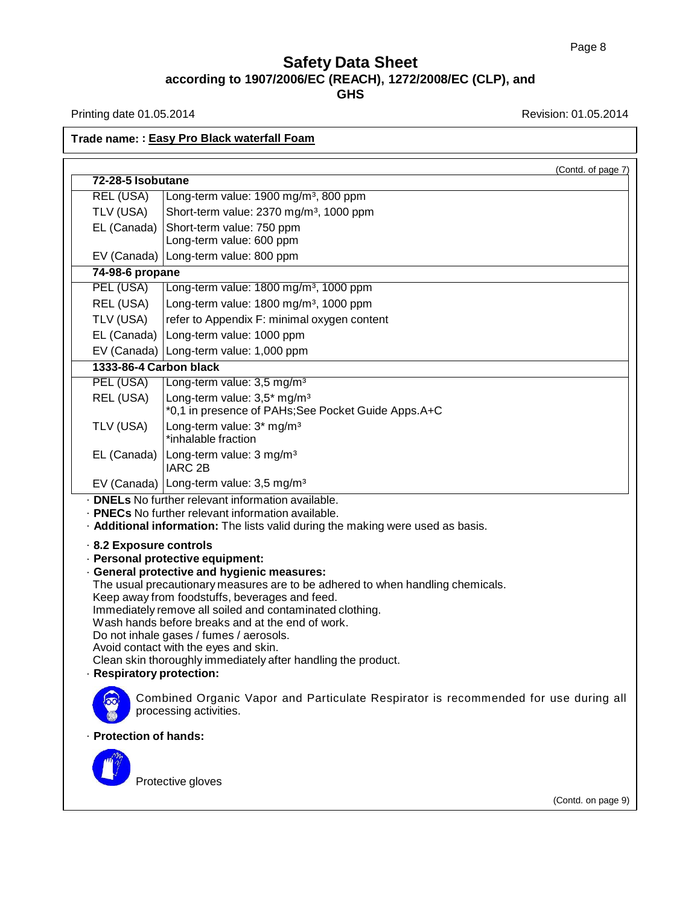Printing date 01.05.2014 **Revision: 01.05.2014** 

## **Trade name: : Easy Pro Black waterfall Foam**

|                                                    |                                                                                                                                                                                                                                                                                                                                                                                                                                                                                                                                                                                                                                                                                                       | (Contd. of page 7) |
|----------------------------------------------------|-------------------------------------------------------------------------------------------------------------------------------------------------------------------------------------------------------------------------------------------------------------------------------------------------------------------------------------------------------------------------------------------------------------------------------------------------------------------------------------------------------------------------------------------------------------------------------------------------------------------------------------------------------------------------------------------------------|--------------------|
| 72-28-5 Isobutane                                  |                                                                                                                                                                                                                                                                                                                                                                                                                                                                                                                                                                                                                                                                                                       |                    |
| <b>REL (USA)</b>                                   | Long-term value: 1900 mg/m <sup>3</sup> , 800 ppm                                                                                                                                                                                                                                                                                                                                                                                                                                                                                                                                                                                                                                                     |                    |
| TLV (USA)                                          | Short-term value: 2370 mg/m <sup>3</sup> , 1000 ppm                                                                                                                                                                                                                                                                                                                                                                                                                                                                                                                                                                                                                                                   |                    |
| EL (Canada)                                        | Short-term value: 750 ppm                                                                                                                                                                                                                                                                                                                                                                                                                                                                                                                                                                                                                                                                             |                    |
|                                                    | Long-term value: 600 ppm                                                                                                                                                                                                                                                                                                                                                                                                                                                                                                                                                                                                                                                                              |                    |
| EV (Canada)                                        | Long-term value: 800 ppm                                                                                                                                                                                                                                                                                                                                                                                                                                                                                                                                                                                                                                                                              |                    |
| 74-98-6 propane                                    | Long-term value: 1800 mg/m <sup>3</sup> , 1000 ppm                                                                                                                                                                                                                                                                                                                                                                                                                                                                                                                                                                                                                                                    |                    |
| PEL (USA)                                          |                                                                                                                                                                                                                                                                                                                                                                                                                                                                                                                                                                                                                                                                                                       |                    |
| REL (USA)                                          | Long-term value: 1800 mg/m <sup>3</sup> , 1000 ppm                                                                                                                                                                                                                                                                                                                                                                                                                                                                                                                                                                                                                                                    |                    |
| TLV (USA)                                          | refer to Appendix F: minimal oxygen content                                                                                                                                                                                                                                                                                                                                                                                                                                                                                                                                                                                                                                                           |                    |
| EL (Canada)                                        | Long-term value: 1000 ppm                                                                                                                                                                                                                                                                                                                                                                                                                                                                                                                                                                                                                                                                             |                    |
|                                                    | EV (Canada) Long-term value: 1,000 ppm                                                                                                                                                                                                                                                                                                                                                                                                                                                                                                                                                                                                                                                                |                    |
| 1333-86-4 Carbon black                             |                                                                                                                                                                                                                                                                                                                                                                                                                                                                                                                                                                                                                                                                                                       |                    |
| PEL (USA)                                          | Long-term value: 3,5 mg/m <sup>3</sup>                                                                                                                                                                                                                                                                                                                                                                                                                                                                                                                                                                                                                                                                |                    |
| REL (USA)                                          | Long-term value: 3,5* mg/m <sup>3</sup><br>*0,1 in presence of PAHs;See Pocket Guide Apps.A+C                                                                                                                                                                                                                                                                                                                                                                                                                                                                                                                                                                                                         |                    |
| TLV (USA)                                          | Long-term value: 3* mg/m <sup>3</sup><br>*inhalable fraction                                                                                                                                                                                                                                                                                                                                                                                                                                                                                                                                                                                                                                          |                    |
| EL (Canada)                                        | Long-term value: 3 mg/m <sup>3</sup><br><b>IARC 2B</b>                                                                                                                                                                                                                                                                                                                                                                                                                                                                                                                                                                                                                                                |                    |
|                                                    | EV (Canada) Long-term value: 3,5 mg/m <sup>3</sup>                                                                                                                                                                                                                                                                                                                                                                                                                                                                                                                                                                                                                                                    |                    |
| 8.2 Exposure controls<br>· Respiratory protection: | . <b>DNELs</b> No further relevant information available.<br>· <b>PNECs</b> No further relevant information available.<br>· Additional information: The lists valid during the making were used as basis.<br>· Personal protective equipment:<br>· General protective and hygienic measures:<br>The usual precautionary measures are to be adhered to when handling chemicals.<br>Keep away from foodstuffs, beverages and feed.<br>Immediately remove all soiled and contaminated clothing.<br>Wash hands before breaks and at the end of work.<br>Do not inhale gases / fumes / aerosols.<br>Avoid contact with the eyes and skin.<br>Clean skin thoroughly immediately after handling the product. |                    |
|                                                    | Combined Organic Vapor and Particulate Respirator is recommended for use during all<br>processing activities.                                                                                                                                                                                                                                                                                                                                                                                                                                                                                                                                                                                         |                    |
| · Protection of hands:                             |                                                                                                                                                                                                                                                                                                                                                                                                                                                                                                                                                                                                                                                                                                       |                    |
|                                                    | Protective gloves                                                                                                                                                                                                                                                                                                                                                                                                                                                                                                                                                                                                                                                                                     |                    |

(Contd. on page 9)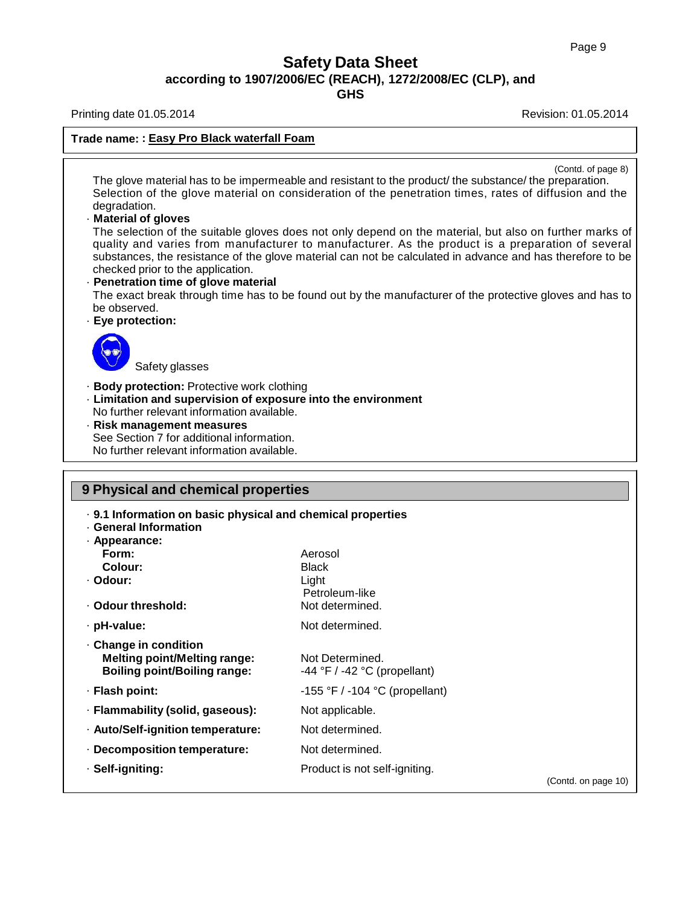**GHS**

Printing date 01.05.2014 **Printing date 01.05.2014** 

### **Trade name: : Easy Pro Black waterfall Foam**

(Contd. of page 8)

The glove material has to be impermeable and resistant to the product/ the substance/ the preparation. Selection of the glove material on consideration of the penetration times, rates of diffusion and the degradation.

#### · **Material of gloves**

The selection of the suitable gloves does not only depend on the material, but also on further marks of quality and varies from manufacturer to manufacturer. As the product is a preparation of several substances, the resistance of the glove material can not be calculated in advance and has therefore to be checked prior to the application.

### · **Penetration time of glove material**

The exact break through time has to be found out by the manufacturer of the protective gloves and has to be observed.

#### · **Eye protection:**



Safety glasses

- · **Body protection:** Protective work clothing
- · **Limitation and supervision of exposure into the environment** No further relevant information available.
- · **Risk management measures** See Section 7 for additional information. No further relevant information available.

| 9 Physical and chemical properties                                                                         |                                                     |                     |
|------------------------------------------------------------------------------------------------------------|-----------------------------------------------------|---------------------|
| . 9.1 Information on basic physical and chemical properties<br><b>General Information</b><br>· Appearance: |                                                     |                     |
| Form:                                                                                                      | Aerosol                                             |                     |
| Colour:                                                                                                    | <b>Black</b>                                        |                     |
| · Odour:                                                                                                   | Light<br>Petroleum-like                             |                     |
| ⋅ Odour threshold:                                                                                         | Not determined.                                     |                     |
| · pH-value:                                                                                                | Not determined.                                     |                     |
| Change in condition<br><b>Melting point/Melting range:</b><br><b>Boiling point/Boiling range:</b>          | Not Determined.<br>$-44$ °F / $-42$ °C (propellant) |                     |
| · Flash point:                                                                                             | $-155$ °F / $-104$ °C (propellant)                  |                     |
| · Flammability (solid, gaseous):                                                                           | Not applicable.                                     |                     |
| · Auto/Self-ignition temperature:                                                                          | Not determined.                                     |                     |
| · Decomposition temperature:                                                                               | Not determined.                                     |                     |
| · Self-igniting:                                                                                           | Product is not self-igniting.                       | (Contd. on page 10) |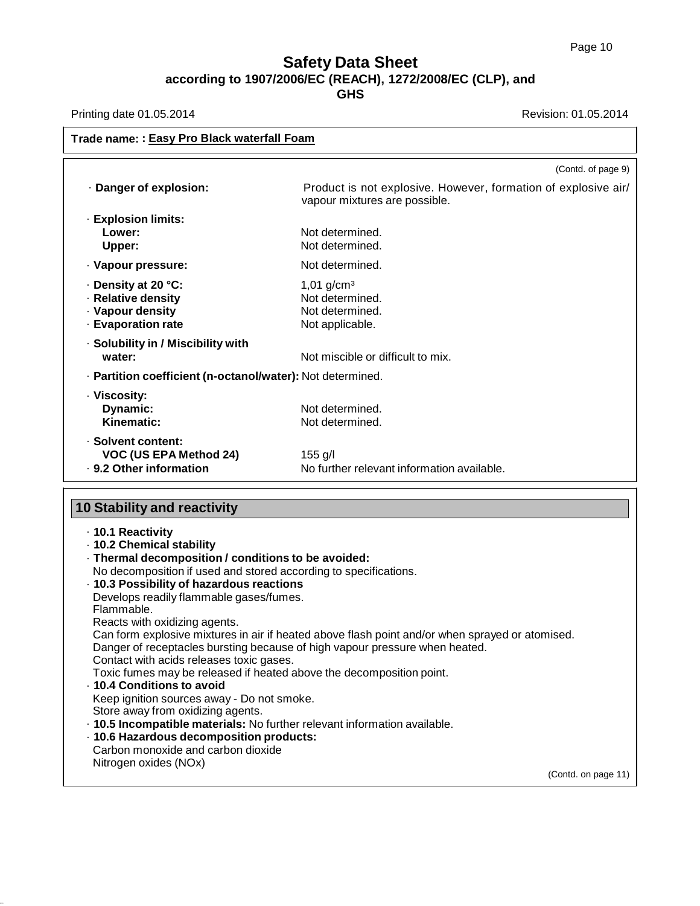**GHS**

Printing date 01.05.2014 **Revision: 01.05.2014** 

| Trade name: : Easy Pro Black waterfall Foam                                                                                                                                                                                                                                                                                                                                                                                                                                                                                                                                                                                                                                                                                                                                                                                  |                                                                                                                        |  |
|------------------------------------------------------------------------------------------------------------------------------------------------------------------------------------------------------------------------------------------------------------------------------------------------------------------------------------------------------------------------------------------------------------------------------------------------------------------------------------------------------------------------------------------------------------------------------------------------------------------------------------------------------------------------------------------------------------------------------------------------------------------------------------------------------------------------------|------------------------------------------------------------------------------------------------------------------------|--|
|                                                                                                                                                                                                                                                                                                                                                                                                                                                                                                                                                                                                                                                                                                                                                                                                                              | (Contd. of page 9)                                                                                                     |  |
| · Danger of explosion:                                                                                                                                                                                                                                                                                                                                                                                                                                                                                                                                                                                                                                                                                                                                                                                                       | Product is not explosive. However, formation of explosive air/<br>vapour mixtures are possible.                        |  |
| · Explosion limits:<br>Lower:<br>Upper:                                                                                                                                                                                                                                                                                                                                                                                                                                                                                                                                                                                                                                                                                                                                                                                      | Not determined.<br>Not determined.                                                                                     |  |
| · Vapour pressure:                                                                                                                                                                                                                                                                                                                                                                                                                                                                                                                                                                                                                                                                                                                                                                                                           | Not determined.                                                                                                        |  |
| · Density at 20 °C:<br>· Relative density<br>· Vapour density<br>· Evaporation rate                                                                                                                                                                                                                                                                                                                                                                                                                                                                                                                                                                                                                                                                                                                                          | $1,01$ g/cm <sup>3</sup><br>Not determined.<br>Not determined.<br>Not applicable.                                      |  |
| · Solubility in / Miscibility with<br>water:                                                                                                                                                                                                                                                                                                                                                                                                                                                                                                                                                                                                                                                                                                                                                                                 | Not miscible or difficult to mix.                                                                                      |  |
| · Partition coefficient (n-octanol/water): Not determined.                                                                                                                                                                                                                                                                                                                                                                                                                                                                                                                                                                                                                                                                                                                                                                   |                                                                                                                        |  |
| · Viscosity:<br>Dynamic:<br>Kinematic:                                                                                                                                                                                                                                                                                                                                                                                                                                                                                                                                                                                                                                                                                                                                                                                       | Not determined.<br>Not determined.                                                                                     |  |
| · Solvent content:<br>VOC (US EPA Method 24)<br>· 9.2 Other information                                                                                                                                                                                                                                                                                                                                                                                                                                                                                                                                                                                                                                                                                                                                                      | $155$ g/l<br>No further relevant information available.                                                                |  |
| <b>10 Stability and reactivity</b>                                                                                                                                                                                                                                                                                                                                                                                                                                                                                                                                                                                                                                                                                                                                                                                           |                                                                                                                        |  |
| · 10.1 Reactivity<br>- 10.2 Chemical stability<br>· Thermal decomposition / conditions to be avoided:<br>No decomposition if used and stored according to specifications.<br>· 10.3 Possibility of hazardous reactions<br>Develops readily flammable gases/fumes.<br>Flammable.<br>Reacts with oxidizing agents.<br>Danger of receptacles bursting because of high vapour pressure when heated.<br>Contact with acids releases toxic gases.<br>Toxic fumes may be released if heated above the decomposition point.<br>- 10.4 Conditions to avoid<br>Keep ignition sources away - Do not smoke.<br>Store away from oxidizing agents.<br>· 10.5 Incompatible materials: No further relevant information available.<br>· 10.6 Hazardous decomposition products:<br>Carbon monoxide and carbon dioxide<br>Nitrogen oxides (NOx) | Can form explosive mixtures in air if heated above flash point and/or when sprayed or atomised.<br>(Contd. on page 11) |  |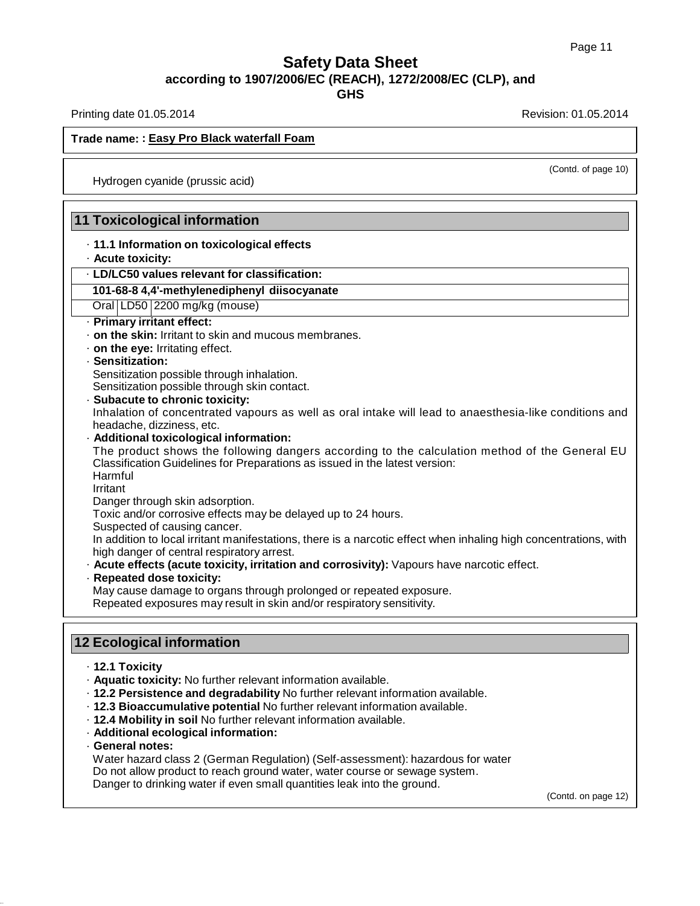Printing date 01.05.2014 **Revision: 01.05.2014** Revision: 01.05.2014

(Contd. of page 10)

### **Trade name: : Easy Pro Black waterfall Foam**

Hydrogen cyanide (prussic acid)

## **11 Toxicological information**

- · **11.1 Information on toxicological effects**
- · **Acute toxicity:**

### · **LD/LC50 values relevant for classification:**

### **101-68-8 4,4'-methylenediphenyl diisocyanate**

Oral LD50 2200 mg/kg (mouse)

- · **Primary irritant effect:**
- · **on the skin:** Irritant to skin and mucous membranes.
- · **on the eye:** Irritating effect.

#### · **Sensitization:**

Sensitization possible through inhalation.

Sensitization possible through skin contact.

· **Subacute to chronic toxicity:**

Inhalation of concentrated vapours as well as oral intake will lead to anaesthesia-like conditions and headache, dizziness, etc.

· **Additional toxicological information:**

The product shows the following dangers according to the calculation method of the General EU Classification Guidelines for Preparations as issued in the latest version: Harmful

Irritant

Danger through skin adsorption.

Toxic and/or corrosive effects may be delayed up to 24 hours.

Suspected of causing cancer.

In addition to local irritant manifestations, there is a narcotic effect when inhaling high concentrations, with high danger of central respiratory arrest.

- · **Acute effects (acute toxicity, irritation and corrosivity):** Vapours have narcotic effect.
- · **Repeated dose toxicity:**

May cause damage to organs through prolonged or repeated exposure.

Repeated exposures may result in skin and/or respiratory sensitivity.

## **12 Ecological information**

- · **12.1 Toxicity**
- · **Aquatic toxicity:** No further relevant information available.
- · **12.2 Persistence and degradability** No further relevant information available.
- · **12.3 Bioaccumulative potential** No further relevant information available.
- · **12.4 Mobility in soil** No further relevant information available.
- · **Additional ecological information:**
- · **General notes:**

Water hazard class 2 (German Regulation) (Self-assessment): hazardous for water Do not allow product to reach ground water, water course or sewage system. Danger to drinking water if even small quantities leak into the ground.

(Contd. on page 12)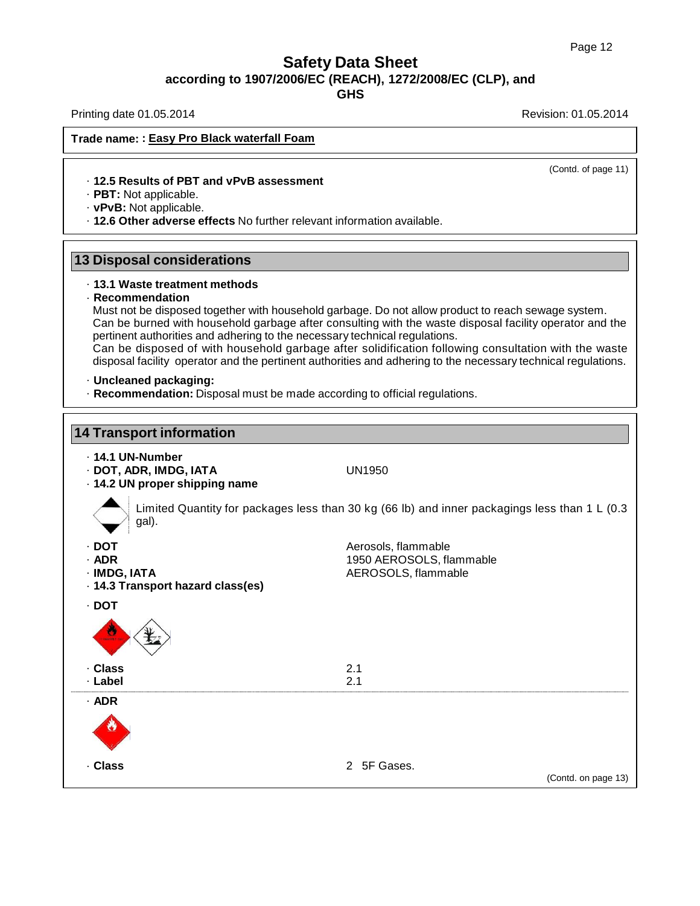**GHS**

Printing date 01.05.2014 **Revision: 01.05.2014** Revision: 01.05.2014

## **Trade name: : Easy Pro Black waterfall Foam**

(Contd. of page 11)

#### · **12.5 Results of PBT and vPvB assessment**

· **PBT:** Not applicable.

- · **vPvB:** Not applicable.
- · **12.6 Other adverse effects** No further relevant information available.

## **13 Disposal considerations**

### · **13.1 Waste treatment methods**

### · **Recommendation**

Must not be disposed together with household garbage. Do not allow product to reach sewage system. Can be burned with household garbage after consulting with the waste disposal facility operator and the pertinent authorities and adhering to the necessary technical regulations.

Can be disposed of with household garbage after solidification following consultation with the waste disposal facility operator and the pertinent authorities and adhering to the necessary technical regulations.

#### · **Uncleaned packaging:**

· **Recommendation:** Disposal must be made according to official regulations.

# **14 Transport information** · **14.1 UN-Number** · **DOT, ADR, IMDG, IATA** UN1950 · **14.2 UN proper shipping name** Limited Quantity for packages less than 30 kg (66 lb) and inner packagings less than 1 L (0.3 gal). · **DOT** Aerosols, flammable · **ADR** 1950 AEROSOLS, flammable · **IMDG, IATA** AEROSOLS, flammable · **14.3 Transport hazard class(es)** · **DOT** · **Class** 2.1 · **Label** 2.1 · **ADR** · **Class** 2 5F Gases. (Contd. on page 13)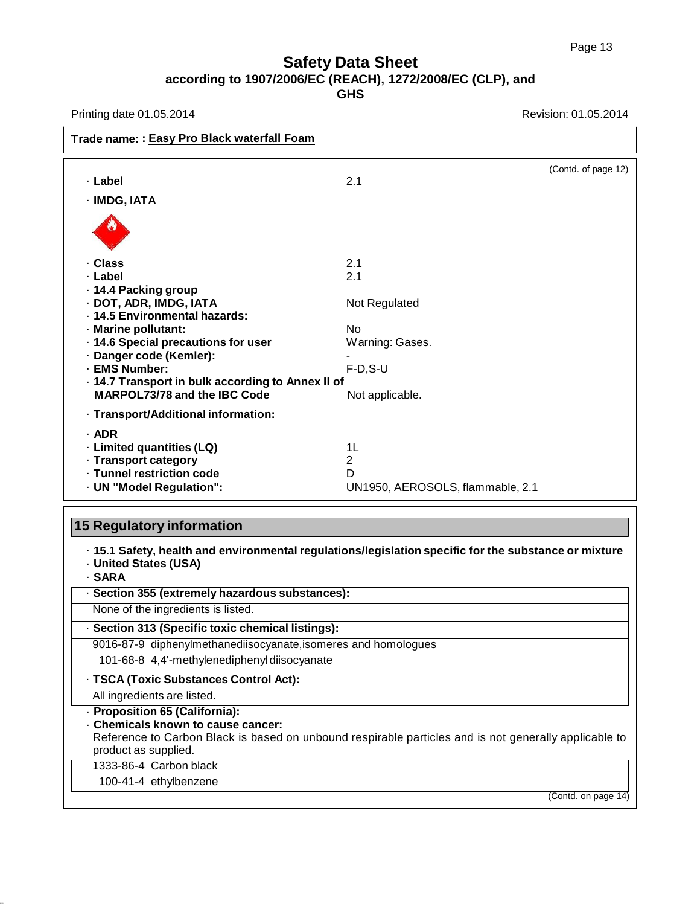Printing date 01.05.2014 **Printing date 01.05.2014** 

| Trade name: : Easy Pro Black waterfall Foam       |                                  |                     |
|---------------------------------------------------|----------------------------------|---------------------|
| · Label                                           | 2.1                              | (Contd. of page 12) |
| · IMDG, IATA                                      |                                  |                     |
|                                                   |                                  |                     |
| · Class                                           | 2.1                              |                     |
| · Label                                           | 2.1                              |                     |
| 14.4 Packing group                                |                                  |                     |
| · DOT, ADR, IMDG, IATA                            | Not Regulated                    |                     |
| · 14.5 Environmental hazards:                     |                                  |                     |
| · Marine pollutant:                               | N <sub>0</sub>                   |                     |
| · 14.6 Special precautions for user               | Warning: Gases.                  |                     |
| · Danger code (Kemler):                           |                                  |                     |
| · EMS Number:                                     | $F-D, S-U$                       |                     |
| - 14.7 Transport in bulk according to Annex II of |                                  |                     |
| MARPOL73/78 and the IBC Code                      | Not applicable.                  |                     |
| · Transport/Additional information:               |                                  |                     |
| $·$ ADR                                           |                                  |                     |
| · Limited quantities (LQ)                         | 1L                               |                     |
| · Transport category                              | 2                                |                     |
| · Tunnel restriction code                         | D                                |                     |
| · UN "Model Regulation":                          | UN1950, AEROSOLS, flammable, 2.1 |                     |

**15 Regulatory information**

· **15.1 Safety, health and environmental regulations/legislation specific for the substance or mixture** · **United States (USA)**

· **SARA**

· **Section 355 (extremely hazardous substances):**

None of the ingredients is listed.

· **Section 313 (Specific toxic chemical listings):**

9016-87-9 diphenylmethanediisocyanate,isomeres and homologues

101-68-8 4,4'-methylenediphenyl diisocyanate

· **TSCA (Toxic Substances Control Act):**

All ingredients are listed.

· **Proposition 65 (California):**

· **Chemicals known to cause cancer:**

Reference to Carbon Black is based on unbound respirable particles and is not generally applicable to product as supplied.

1333-86-4 Carbon black

100-41-4 ethylbenzene

(Contd. on page 14)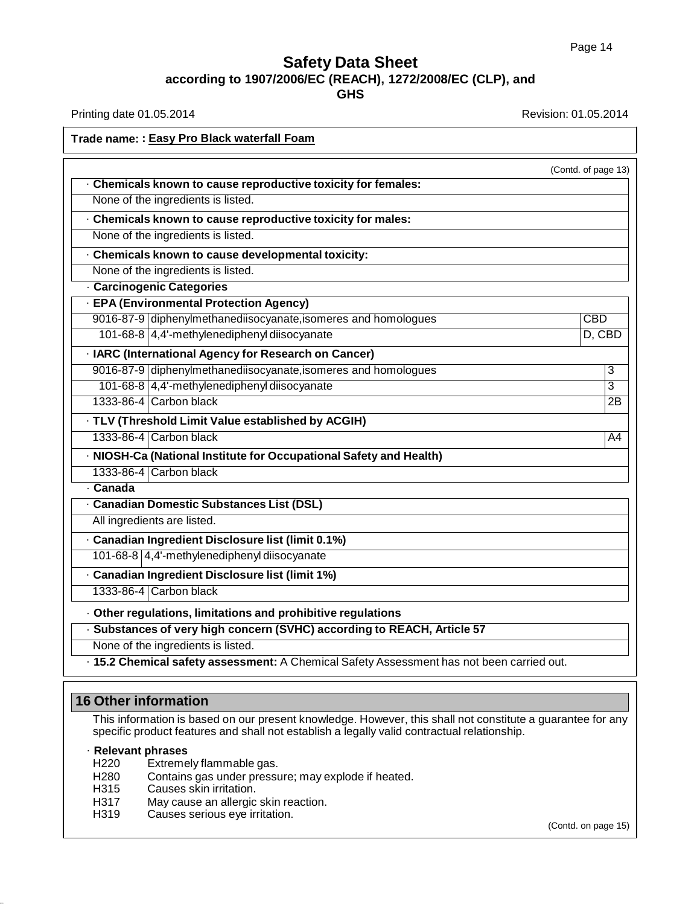**GHS**

Printing date 01.05.2014 **Revision: 01.05.2014** 

| Trade name: : Easy Pro Black waterfall Foam                                               |                     |
|-------------------------------------------------------------------------------------------|---------------------|
|                                                                                           | (Contd. of page 13) |
| . Chemicals known to cause reproductive toxicity for females:                             |                     |
| None of the ingredients is listed.                                                        |                     |
| . Chemicals known to cause reproductive toxicity for males:                               |                     |
| None of the ingredients is listed.                                                        |                     |
| · Chemicals known to cause developmental toxicity:                                        |                     |
| None of the ingredients is listed.                                                        |                     |
| - Carcinogenic Categories                                                                 |                     |
| · EPA (Environmental Protection Agency)                                                   |                     |
| 9016-87-9 diphenylmethanediisocyanate, isomeres and homologues                            | <b>CBD</b>          |
| 101-68-8 4,4'-methylenediphenyl diisocyanate                                              | $D,$ CBD            |
| · IARC (International Agency for Research on Cancer)                                      |                     |
| 9016-87-9 diphenylmethanediisocyanate, isomeres and homologues                            | 3                   |
| 101-68-8 4,4'-methylenediphenyl diisocyanate                                              | 3                   |
| 1333-86-4 Carbon black                                                                    | 2B                  |
| · TLV (Threshold Limit Value established by ACGIH)                                        |                     |
| 1333-86-4 Carbon black                                                                    | $\overline{A4}$     |
| · NIOSH-Ca (National Institute for Occupational Safety and Health)                        |                     |
| 1333-86-4 Carbon black                                                                    |                     |
| <b>Canada</b>                                                                             |                     |
| · Canadian Domestic Substances List (DSL)                                                 |                     |
| All ingredients are listed.                                                               |                     |
| · Canadian Ingredient Disclosure list (limit 0.1%)                                        |                     |
| 101-68-8 4,4'-methylenediphenyl diisocyanate                                              |                     |
| · Canadian Ingredient Disclosure list (limit 1%)                                          |                     |
| 1333-86-4 Carbon black                                                                    |                     |
| · Other regulations, limitations and prohibitive regulations                              |                     |
| · Substances of very high concern (SVHC) according to REACH, Article 57                   |                     |
| None of the ingredients is listed.                                                        |                     |
| · 15.2 Chemical safety assessment: A Chemical Safety Assessment has not been carried out. |                     |

## **16 Other information**

This information is based on our present knowledge. However, this shall not constitute a guarantee for any specific product features and shall not establish a legally valid contractual relationship.

### · **Relevant phrases**

- H220 Extremely flammable gas.
- H280 Contains gas under pressure; may explode if heated.<br>H315 Causes skin irritation.
- Causes skin irritation.
- H317 May cause an allergic skin reaction.
- H319 Causes serious eye irritation.

(Contd. on page 15)